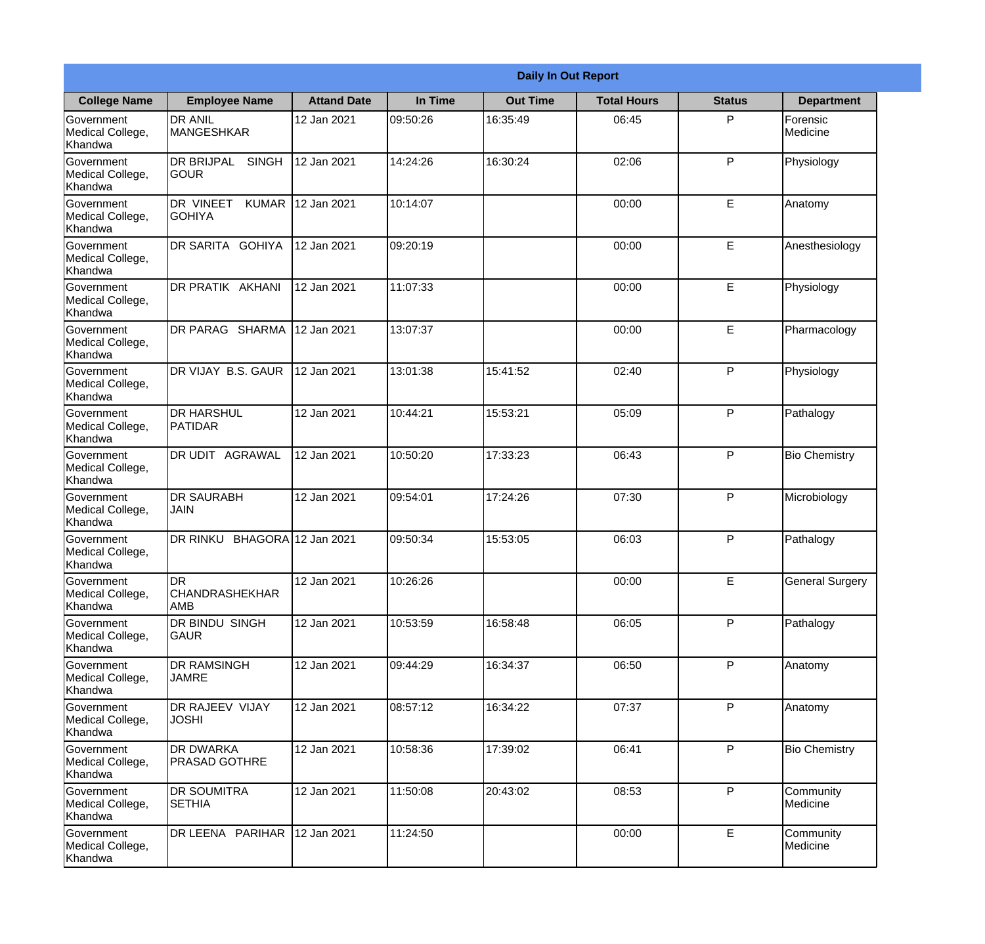|                                                  |                                             |                     |          | <b>Daily In Out Report</b> |                    |               |                        |
|--------------------------------------------------|---------------------------------------------|---------------------|----------|----------------------------|--------------------|---------------|------------------------|
| <b>College Name</b>                              | <b>Employee Name</b>                        | <b>Attand Date</b>  | In Time  | <b>Out Time</b>            | <b>Total Hours</b> | <b>Status</b> | <b>Department</b>      |
| Government<br>Medical College,<br>Khandwa        | <b>DR ANIL</b><br><b>MANGESHKAR</b>         | 12 Jan 2021         | 09:50:26 | 16:35:49                   | 06:45              | P             | Forensic<br>Medicine   |
| Government<br>Medical College,<br>Khandwa        | <b>DR BRIJPAL</b><br><b>SINGH</b><br> GOUR  | 12 Jan 2021         | 14:24:26 | 16:30:24                   | 02:06              | P             | Physiology             |
| Government<br>Medical College,<br>Khandwa        | <b>DR VINEET</b><br><b>KUMAR</b><br>IGOHIYA | 12 Jan 2021         | 10:14:07 |                            | 00:00              | E             | Anatomy                |
| Government<br>Medical College,<br>Khandwa        | DR SARITA GOHIYA                            | 12 Jan 2021         | 09:20:19 |                            | 00:00              | E             | Anesthesiology         |
| <b>Government</b><br>Medical College,<br>Khandwa | DR PRATIK AKHANI                            | 12 Jan 2021         | 11:07:33 |                            | 00:00              | E             | Physiology             |
| Government<br>Medical College,<br>Khandwa        | DR PARAG SHARMA                             | 12 Jan 2021         | 13:07:37 |                            | 00:00              | E             | Pharmacology           |
| <b>Government</b><br>Medical College,<br>Khandwa | DR VIJAY B.S. GAUR                          | 12 Jan 2021         | 13:01:38 | 15:41:52                   | 02:40              | P             | Physiology             |
| Government<br>Medical College,<br>Khandwa        | <b>DR HARSHUL</b><br>PATIDAR                | 12 Jan 2021         | 10:44:21 | 15:53:21                   | 05:09              | P             | Pathalogy              |
| Government<br>Medical College,<br>Khandwa        | <b>DR UDIT AGRAWAL</b>                      | 12 Jan 2021         | 10:50:20 | 17:33:23                   | 06:43              | P             | <b>Bio Chemistry</b>   |
| Government<br>Medical College,<br>Khandwa        | <b>DR SAURABH</b><br><b>JAIN</b>            | 12 Jan 2021         | 09:54:01 | 17:24:26                   | 07:30              | P             | Microbiology           |
| Government<br>Medical College,<br>Khandwa        | DR RINKU                                    | BHAGORA 12 Jan 2021 | 09:50:34 | 15:53:05                   | 06:03              | P             | Pathalogy              |
| Government<br>Medical College,<br>Khandwa        | DR<br>CHANDRASHEKHAR<br><b>AMB</b>          | 12 Jan 2021         | 10:26:26 |                            | 00:00              | E.            | <b>General Surgery</b> |
| Government<br>Medical College,<br>Khandwa        | DR BINDU SINGH<br><b>GAUR</b>               | 12 Jan 2021         | 10:53:59 | 16:58:48                   | 06:05              | P             | Pathalogy              |
| Government<br>Medical College,<br>Khandwa        | <b>DR RAMSINGH</b><br><b>JAMRE</b>          | 12 Jan 2021         | 09:44:29 | 16:34:37                   | 06:50              | P             | Anatomy                |
| Government<br>Medical College,<br>Khandwa        | <b>DR RAJEEV VIJAY</b><br><b>JOSHI</b>      | 12 Jan 2021         | 08:57:12 | 16:34:22                   | 07:37              | P             | Anatomy                |
| Government<br>Medical College,<br>Khandwa        | <b>DR DWARKA</b><br><b>PRASAD GOTHRE</b>    | 12 Jan 2021         | 10:58:36 | 17:39:02                   | 06:41              | P             | <b>Bio Chemistry</b>   |
| Government<br>Medical College,<br>Khandwa        | <b>DR SOUMITRA</b><br><b>SETHIA</b>         | 12 Jan 2021         | 11:50:08 | 20:43:02                   | 08:53              | P             | Community<br>Medicine  |
| Government<br>Medical College,<br>Khandwa        | DR LEENA PARIHAR                            | 12 Jan 2021         | 11:24:50 |                            | 00:00              | E             | Community<br>Medicine  |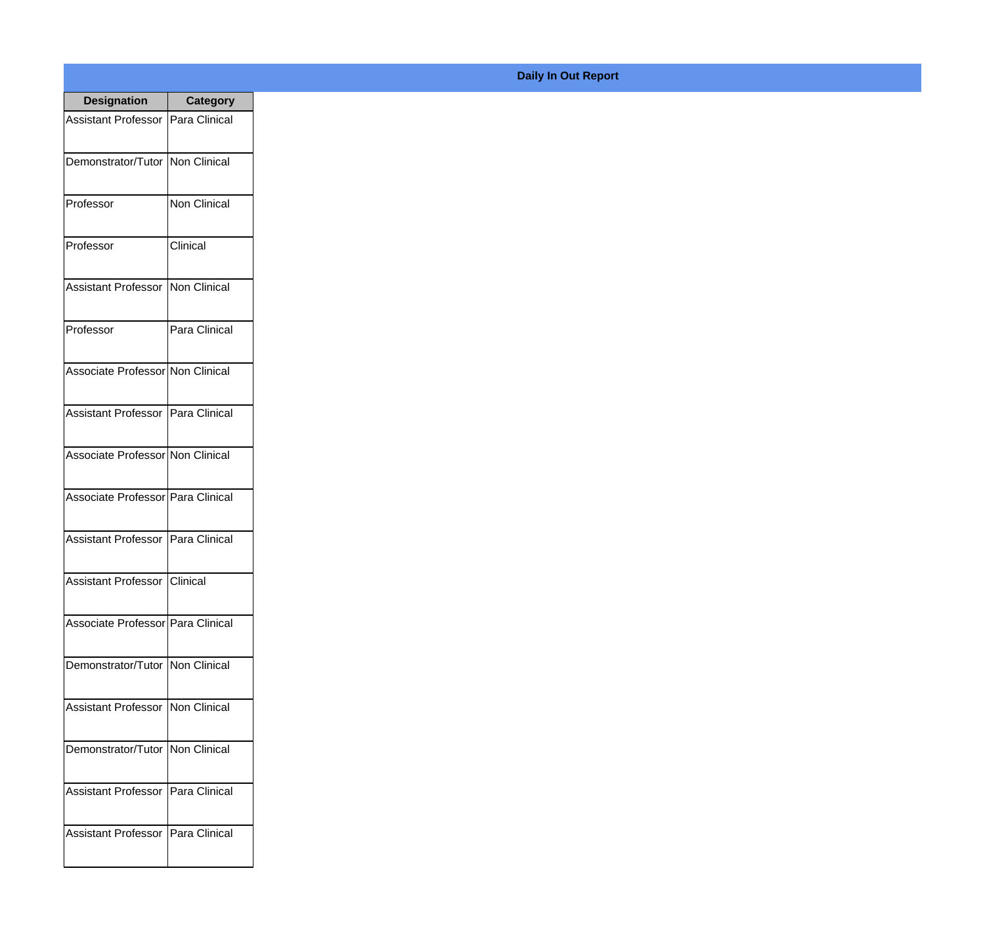| <b>Designation</b>                  | Category      |
|-------------------------------------|---------------|
| Assistant Professor   Para Clinical |               |
| Demonstrator/Tutor   Non Clinical   |               |
| Professor                           | Non Clinical  |
| Professor                           | Clinical      |
| <b>Assistant Professor</b>          | Non Clinical  |
| Professor                           | Para Clinical |
| Associate Professor Non Clinical    |               |
| Assistant Professor   Para Clinical |               |
| Associate Professor Non Clinical    |               |
| Associate Professor   Para Clinical |               |
| <b>Assistant Professor</b>          | Para Clinical |
| Assistant Professor   Clinical      |               |
| Associate Professor Para Clinical   |               |
| Demonstrator/Tutor   Non Clinical   |               |
| <b>Assistant Professor</b>          | Non Clinical  |
| Demonstrator/Tutor                  | Non Clinical  |
| <b>Assistant Professor</b>          | Para Clinical |
| <b>Assistant Professor</b>          | Para Clinical |

## **Daily In Out Report**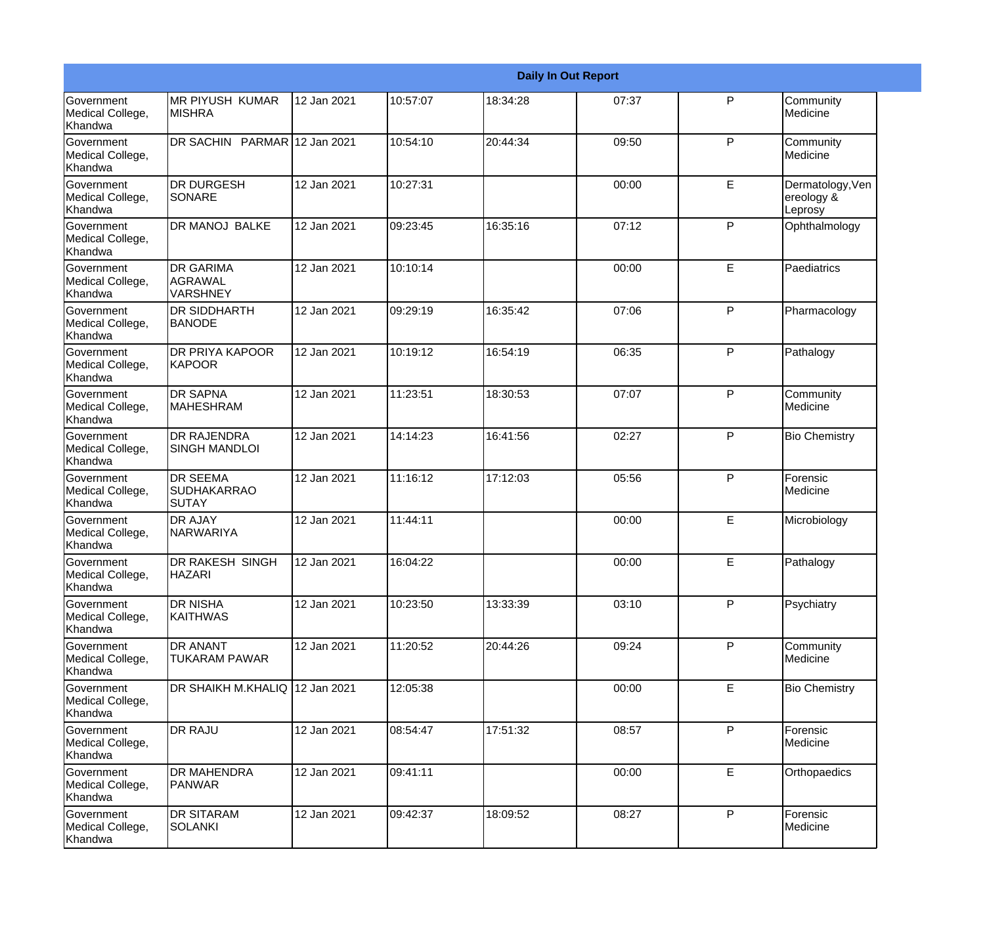|                                                         |                                                |             |          |          | <b>Daily In Out Report</b> |              |                                           |
|---------------------------------------------------------|------------------------------------------------|-------------|----------|----------|----------------------------|--------------|-------------------------------------------|
| Government<br>Medical College,<br>Khandwa               | <b>MR PIYUSH KUMAR</b><br><b>MISHRA</b>        | 12 Jan 2021 | 10:57:07 | 18:34:28 | 07:37                      | $\mathsf{P}$ | Community<br>Medicine                     |
| <b>Government</b><br>Medical College,<br>Khandwa        | DR SACHIN PARMAR 12 Jan 2021                   |             | 10:54:10 | 20:44:34 | 09:50                      | $\mathsf{P}$ | Community<br>Medicine                     |
| <b>Government</b><br>Medical College,<br>Khandwa        | <b>DR DURGESH</b><br><b>SONARE</b>             | 12 Jan 2021 | 10:27:31 |          | 00:00                      | E            | Dermatology, Ven<br>ereology &<br>Leprosy |
| <b>Government</b><br>Medical College,<br>Khandwa        | <b>DR MANOJ BALKE</b>                          | 12 Jan 2021 | 09:23:45 | 16:35:16 | 07:12                      | $\mathsf{P}$ | Ophthalmology                             |
| Government<br>Medical College,<br>Khandwa               | <b>DR GARIMA</b><br>AGRAWAL<br><b>VARSHNEY</b> | 12 Jan 2021 | 10:10:14 |          | 00:00                      | E            | Paediatrics                               |
| <b>Government</b><br>Medical College,<br><b>Khandwa</b> | DR SIDDHARTH<br><b>BANODE</b>                  | 12 Jan 2021 | 09:29:19 | 16:35:42 | 07:06                      | $\mathsf{P}$ | Pharmacology                              |
| Government<br>Medical College,<br>Khandwa               | <b>DR PRIYA KAPOOR</b><br><b>KAPOOR</b>        | 12 Jan 2021 | 10:19:12 | 16:54:19 | 06:35                      | P            | Pathalogy                                 |
| Government<br>Medical College,<br>Khandwa               | <b>DR SAPNA</b><br><b>MAHESHRAM</b>            | 12 Jan 2021 | 11:23:51 | 18:30:53 | 07:07                      | P            | Community<br>Medicine                     |
| Government<br>Medical College,<br>Khandwa               | <b>DR RAJENDRA</b><br><b>SINGH MANDLOI</b>     | 12 Jan 2021 | 14:14:23 | 16:41:56 | 02:27                      | $\mathsf{P}$ | <b>Bio Chemistry</b>                      |
| <b>Government</b><br>Medical College,<br>Khandwa        | <b>DR SEEMA</b><br><b>SUDHAKARRAO</b><br>SUTAY | 12 Jan 2021 | 11:16:12 | 17:12:03 | 05:56                      | $\mathsf{P}$ | Forensic<br>Medicine                      |
| <b>Government</b><br>Medical College,<br>Khandwa        | <b>DR AJAY</b><br>NARWARIYA                    | 12 Jan 2021 | 11:44:11 |          | 00:00                      | E            | Microbiology                              |
| Government<br>Medical College,<br>Khandwa               | DR RAKESH SINGH<br><b>HAZARI</b>               | 12 Jan 2021 | 16:04:22 |          | 00:00                      | E            | Pathalogy                                 |
| <b>Government</b><br>Medical College,<br>Khandwa        | DR NISHA<br><b>KAITHWAS</b>                    | 12 Jan 2021 | 10:23:50 | 13:33:39 | 03:10                      | $\mathsf{P}$ | Psychiatry                                |
| Government<br>Medical College,<br>Khandwa               | DR ANANT<br>TUKARAM PAWAR                      | 12 Jan 2021 | 11:20:52 | 20:44:26 | 09:24                      | P            | Community<br>Medicine                     |
| Government<br>Medical College,<br>Khandwa               | DR SHAIKH M.KHALIQ 12 Jan 2021                 |             | 12:05:38 |          | 00:00                      | E            | <b>Bio Chemistry</b>                      |
| Government<br>Medical College,<br>Khandwa               | <b>DR RAJU</b>                                 | 12 Jan 2021 | 08:54:47 | 17:51:32 | 08:57                      | P            | Forensic<br>Medicine                      |
| Government<br>Medical College,<br>Khandwa               | <b>DR MAHENDRA</b><br><b>PANWAR</b>            | 12 Jan 2021 | 09:41:11 |          | 00:00                      | E            | Orthopaedics                              |
| Government<br>Medical College,<br>Khandwa               | <b>DR SITARAM</b><br>SOLANKI                   | 12 Jan 2021 | 09:42:37 | 18:09:52 | 08:27                      | P            | Forensic<br>Medicine                      |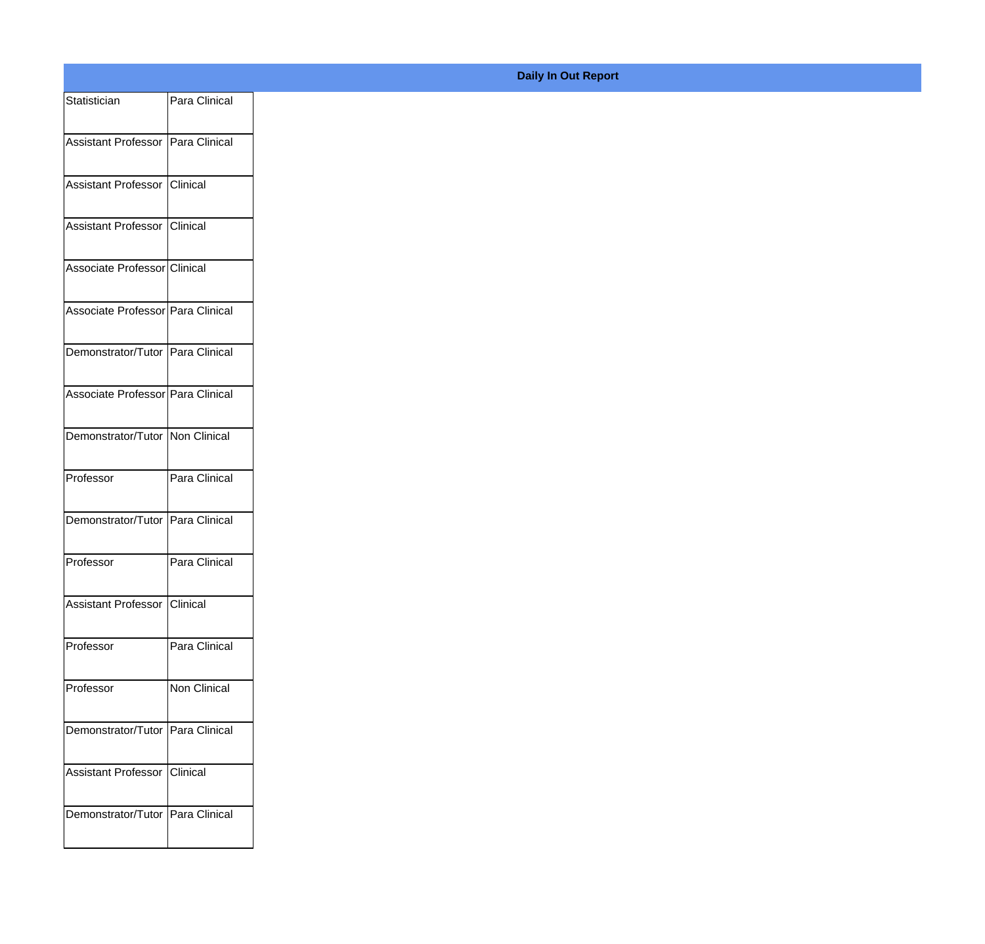| Statistician                        | Para Clinical |
|-------------------------------------|---------------|
| Assistant Professor   Para Clinical |               |
|                                     |               |
| Assistant Professor Clinical        |               |
| Assistant Professor Clinical        |               |
| Associate Professor Clinical        |               |
| Associate Professor Para Clinical   |               |
| Demonstrator/Tutor Para Clinical    |               |
| Associate Professor Para Clinical   |               |
| Demonstrator/Tutor Non Clinical     |               |
|                                     |               |
| Professor                           | Para Clinical |
| Demonstrator/Tutor Para Clinical    |               |
| Professor                           | Para Clinical |
| Assistant Professor                 | Clinical      |
| Professor                           | Para Clinical |
| Professor                           | Non Clinical  |
| Demonstrator/Tutor Para Clinical    |               |
| Assistant Professor Clinical        |               |
|                                     |               |
| Demonstrator/Tutor Para Clinical    |               |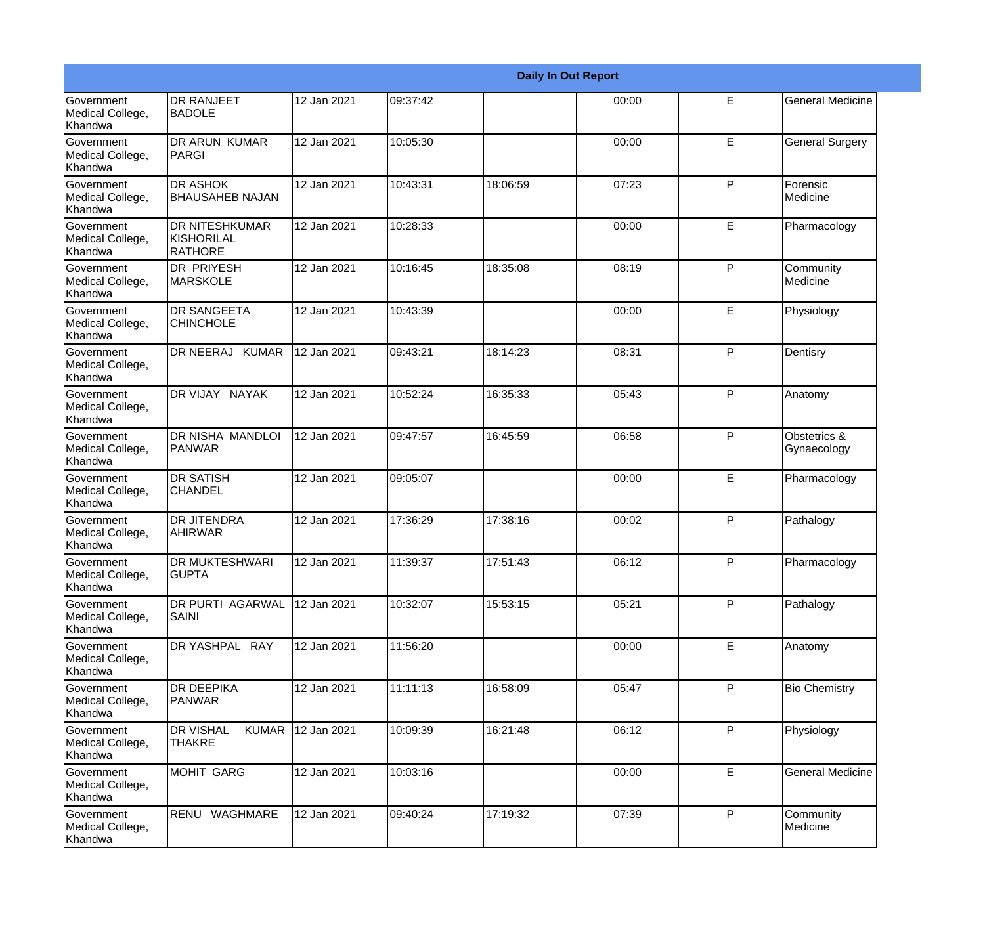|                                                  |                                                              |             |          |          | <b>Daily In Out Report</b> |             |                             |
|--------------------------------------------------|--------------------------------------------------------------|-------------|----------|----------|----------------------------|-------------|-----------------------------|
| <b>Government</b><br>Medical College,<br>Khandwa | <b>DR RANJEET</b><br><b>BADOLE</b>                           | 12 Jan 2021 | 09:37:42 |          | 00:00                      | E           | <b>General Medicine</b>     |
| Government<br>Medical College,<br>Khandwa        | DR ARUN KUMAR<br>PARGI                                       | 12 Jan 2021 | 10:05:30 |          | 00:00                      | E           | <b>General Surgery</b>      |
| <b>Government</b><br>Medical College,<br>Khandwa | <b>DR ASHOK</b><br><b>BHAUSAHEB NAJAN</b>                    | 12 Jan 2021 | 10:43:31 | 18:06:59 | 07:23                      | P           | Forensic<br>Medicine        |
| <b>Government</b><br>Medical College,<br>Khandwa | <b>DR NITESHKUMAR</b><br><b>KISHORILAL</b><br><b>RATHORE</b> | 12 Jan 2021 | 10:28:33 |          | 00:00                      | E           | Pharmacology                |
| Government<br>Medical College,<br>Khandwa        | <b>DR PRIYESH</b><br><b>MARSKOLE</b>                         | 12 Jan 2021 | 10:16:45 | 18:35:08 | 08:19                      | P           | Community<br>Medicine       |
| Government<br>Medical College,<br>Khandwa        | <b>DR SANGEETA</b><br><b>CHINCHOLE</b>                       | 12 Jan 2021 | 10:43:39 |          | 00:00                      | E           | Physiology                  |
| Government<br>Medical College,<br>Khandwa        | DR NEERAJ KUMAR                                              | 12 Jan 2021 | 09:43:21 | 18:14:23 | 08:31                      | P           | Dentisry                    |
| Government<br>Medical College,<br>Khandwa        | DR VIJAY NAYAK                                               | 12 Jan 2021 | 10:52:24 | 16:35:33 | 05:43                      | P           | Anatomy                     |
| Government<br>Medical College,<br>Khandwa        | DR NISHA MANDLOI<br>PANWAR                                   | 12 Jan 2021 | 09:47:57 | 16:45:59 | 06:58                      | P           | Obstetrics &<br>Gynaecology |
| Government<br>Medical College,<br>Khandwa        | <b>DR SATISH</b><br><b>CHANDEL</b>                           | 12 Jan 2021 | 09:05:07 |          | 00:00                      | E           | Pharmacology                |
| <b>Government</b><br>Medical College,<br>Khandwa | <b>DR JITENDRA</b><br>AHIRWAR                                | 12 Jan 2021 | 17:36:29 | 17:38:16 | 00:02                      | P           | Pathalogy                   |
| Government<br>Medical College,<br>Khandwa        | <b>DR MUKTESHWARI</b><br><b>GUPTA</b>                        | 12 Jan 2021 | 11:39:37 | 17:51:43 | 06:12                      | P           | Pharmacology                |
| Government<br>Medical College,<br>Khandwa        | DR PURTI AGARWAL<br><b>SAINI</b>                             | 12 Jan 2021 | 10:32:07 | 15:53:15 | 05:21                      | P           | Pathalogy                   |
| Government<br>Medical College,<br>Khandwa        | DR YASHPAL RAY                                               | 12 Jan 2021 | 11:56:20 |          | 00:00                      | Е           | Anatomy                     |
| Government<br>Medical College,<br>Khandwa        | <b>DR DEEPIKA</b><br>PANWAR                                  | 12 Jan 2021 | 11:11:13 | 16:58:09 | 05:47                      | P           | <b>Bio Chemistry</b>        |
| Government<br>Medical College,<br>Khandwa        | <b>DR VISHAL</b><br><b>KUMAR</b><br><b>THAKRE</b>            | 12 Jan 2021 | 10:09:39 | 16:21:48 | 06:12                      | P           | Physiology                  |
| Government<br>Medical College,<br>Khandwa        | MOHIT GARG                                                   | 12 Jan 2021 | 10:03:16 |          | 00:00                      | $\mathsf E$ | <b>General Medicine</b>     |
| Government<br>Medical College,<br>Khandwa        | RENU WAGHMARE                                                | 12 Jan 2021 | 09:40:24 | 17:19:32 | 07:39                      | P           | Community<br>Medicine       |